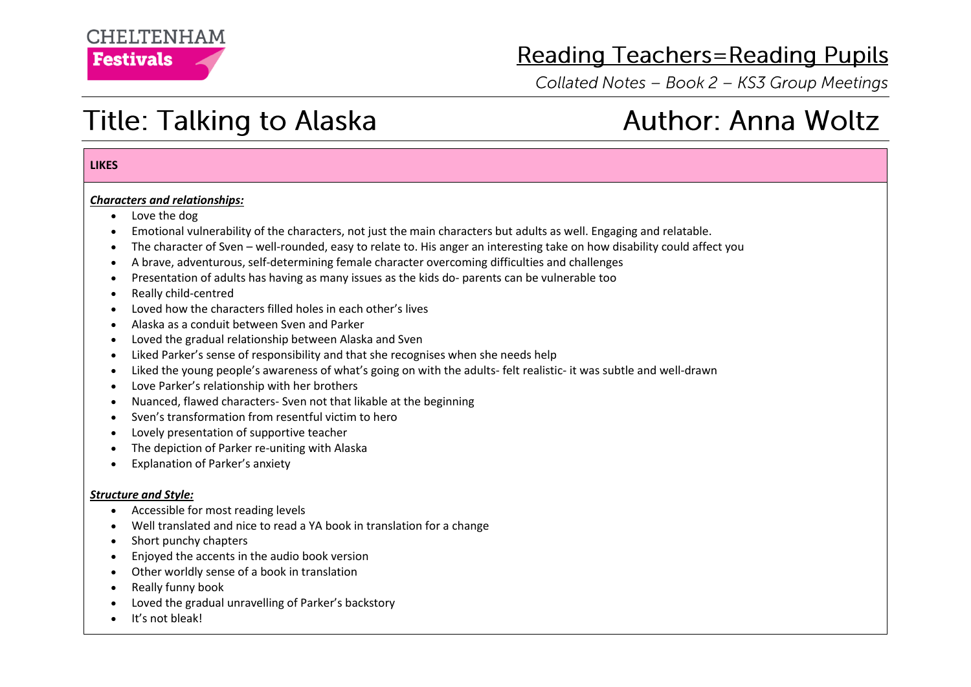# **CHEITENHAM Festivals**

# **Reading Teachers=Reading Pupils**

Collated Notes - Book 2 - KS3 Group Meetings

**Author: Anna Woltz** 

# **Title: Talking to Alaska**

### **LIKES**

### *Characters and relationships:*

- Love the dog
- Emotional vulnerability of the characters, not just the main characters but adults as well. Engaging and relatable.
- The character of Sven well-rounded, easy to relate to. His anger an interesting take on how disability could affect you
- A brave, adventurous, self-determining female character overcoming difficulties and challenges
- Presentation of adults has having as many issues as the kids do- parents can be vulnerable too
- Really child-centred
- Loved how the characters filled holes in each other's lives
- Alaska as a conduit between Sven and Parker
- Loved the gradual relationship between Alaska and Sven
- Liked Parker's sense of responsibility and that she recognises when she needs help
- Liked the young people's awareness of what's going on with the adults- felt realistic- it was subtle and well-drawn
- Love Parker's relationship with her brothers
- Nuanced, flawed characters- Sven not that likable at the beginning
- Sven's transformation from resentful victim to hero
- Lovely presentation of supportive teacher
- The depiction of Parker re-uniting with Alaska
- Explanation of Parker's anxiety

### *Structure and Style:*

- Accessible for most reading levels
- Well translated and nice to read a YA book in translation for a change
- Short punchy chapters
- Enjoyed the accents in the audio book version
- Other worldly sense of a book in translation
- Really funny book
- Loved the gradual unravelling of Parker's backstory
- It's not bleak!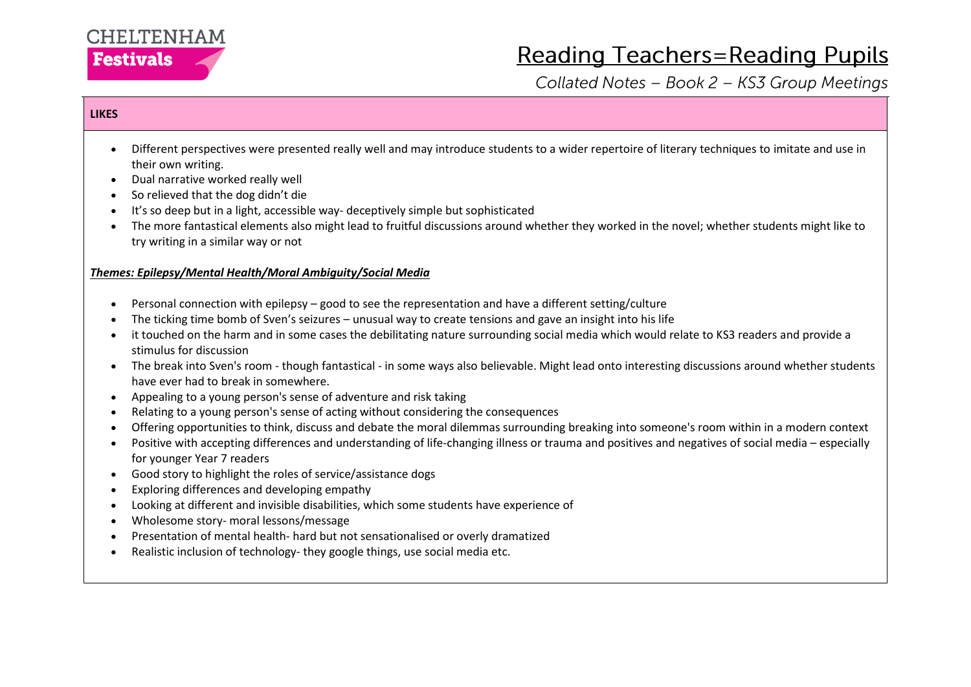

# **Reading Teachers=Reading Pupils**

Collated Notes - Book 2 - KS3 Group Meetings

## **LIKES**

- Different perspectives were presented really well and may introduce students to a wider repertoire of literary techniques to imitate and use in their own writing.
- Dual narrative worked really well
- So relieved that the dog didn't die
- It's so deep but in a light, accessible way- deceptively simple but sophisticated
- The more fantastical elements also might lead to fruitful discussions around whether they worked in the novel; whether students might like to try writing in a similar way or not

### *Themes: Epilepsy/Mental Health/Moral Ambiguity/Social Media*

- Personal connection with epilepsy good to see the representation and have a different setting/culture
- The ticking time bomb of Sven's seizures unusual way to create tensions and gave an insight into his life
- it touched on the harm and in some cases the debilitating nature surrounding social media which would relate to KS3 readers and provide a stimulus for discussion
- The break into Sven's room though fantastical in some ways also believable. Might lead onto interesting discussions around whether students have ever had to break in somewhere.
- Appealing to a young person's sense of adventure and risk taking
- Relating to a young person's sense of acting without considering the consequences
- Offering opportunities to think, discuss and debate the moral dilemmas surrounding breaking into someone's room within in a modern context
- Positive with accepting differences and understanding of life-changing illness or trauma and positives and negatives of social media especially for younger Year 7 readers
- Good story to highlight the roles of service/assistance dogs
- Exploring differences and developing empathy
- Looking at different and invisible disabilities, which some students have experience of
- Wholesome story- moral lessons/message
- Presentation of mental health- hard but not sensationalised or overly dramatized
- Realistic inclusion of technology- they google things, use social media etc.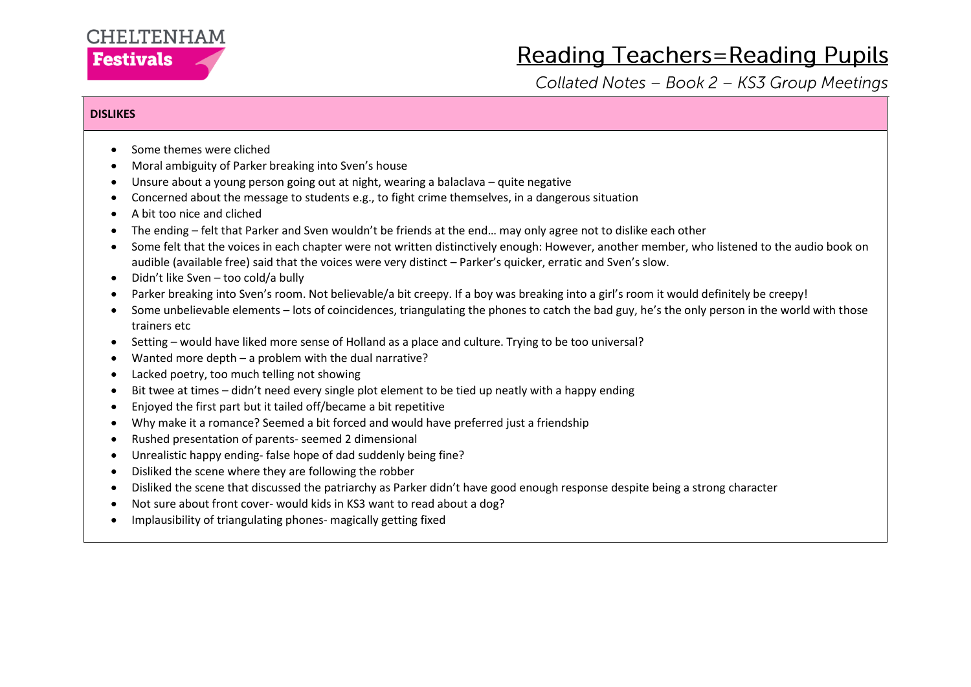# CHELTENHAM **Festivals**

# **Reading Teachers=Reading Pupils**

Collated Notes - Book 2 - KS3 Group Meetings

### **DISLIKES**

- Some themes were cliched
- Moral ambiguity of Parker breaking into Sven's house
- Unsure about a young person going out at night, wearing a balaclava quite negative
- Concerned about the message to students e.g., to fight crime themselves, in a dangerous situation
- A bit too nice and cliched
- The ending felt that Parker and Sven wouldn't be friends at the end… may only agree not to dislike each other
- Some felt that the voices in each chapter were not written distinctively enough: However, another member, who listened to the audio book on audible (available free) said that the voices were very distinct – Parker's quicker, erratic and Sven's slow.
- Didn't like Sven too cold/a bully
- Parker breaking into Sven's room. Not believable/a bit creepy. If a boy was breaking into a girl's room it would definitely be creepy!
- Some unbelievable elements lots of coincidences, triangulating the phones to catch the bad guy, he's the only person in the world with those trainers etc
- Setting would have liked more sense of Holland as a place and culture. Trying to be too universal?
- Wanted more depth a problem with the dual narrative?
- Lacked poetry, too much telling not showing
- Bit twee at times didn't need every single plot element to be tied up neatly with a happy ending
- Enjoyed the first part but it tailed off/became a bit repetitive
- Why make it a romance? Seemed a bit forced and would have preferred just a friendship
- Rushed presentation of parents- seemed 2 dimensional
- Unrealistic happy ending- false hope of dad suddenly being fine?
- Disliked the scene where they are following the robber
- Disliked the scene that discussed the patriarchy as Parker didn't have good enough response despite being a strong character
- Not sure about front cover- would kids in KS3 want to read about a dog?
- Implausibility of triangulating phones- magically getting fixed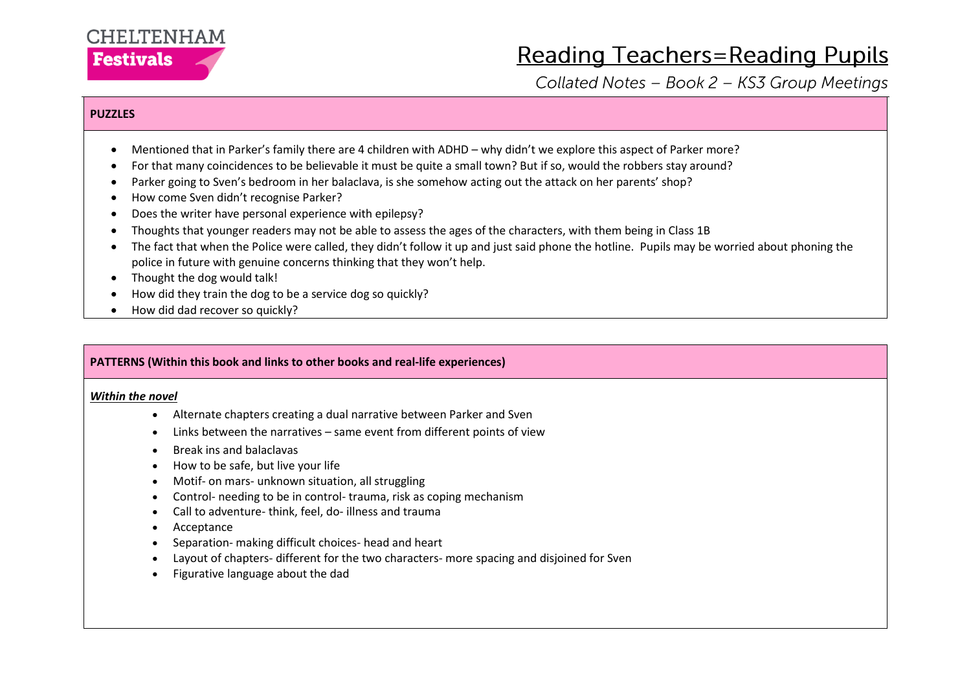

# **Reading Teachers=Reading Pupils**

Collated Notes - Book 2 - KS3 Group Meetings

### **PUZZLES**

- Mentioned that in Parker's family there are 4 children with ADHD why didn't we explore this aspect of Parker more?
- For that many coincidences to be believable it must be quite a small town? But if so, would the robbers stay around?
- Parker going to Sven's bedroom in her balaclava, is she somehow acting out the attack on her parents' shop?
- How come Sven didn't recognise Parker?
- Does the writer have personal experience with epilepsy?
- Thoughts that younger readers may not be able to assess the ages of the characters, with them being in Class 1B
- The fact that when the Police were called, they didn't follow it up and just said phone the hotline. Pupils may be worried about phoning the police in future with genuine concerns thinking that they won't help.
- Thought the dog would talk!
- How did they train the dog to be a service dog so quickly?
- How did dad recover so quickly?

### **PATTERNS (Within this book and links to other books and real-life experiences)**

#### *Within the novel*

- Alternate chapters creating a dual narrative between Parker and Sven
- Links between the narratives same event from different points of view
- Break ins and balaclavas
- How to be safe, but live your life
- Motif- on mars- unknown situation, all struggling
- Control- needing to be in control- trauma, risk as coping mechanism
- Call to adventure- think, feel, do- illness and trauma
- Acceptance
- Separation- making difficult choices- head and heart
- Layout of chapters- different for the two characters- more spacing and disjoined for Sven
- Figurative language about the dad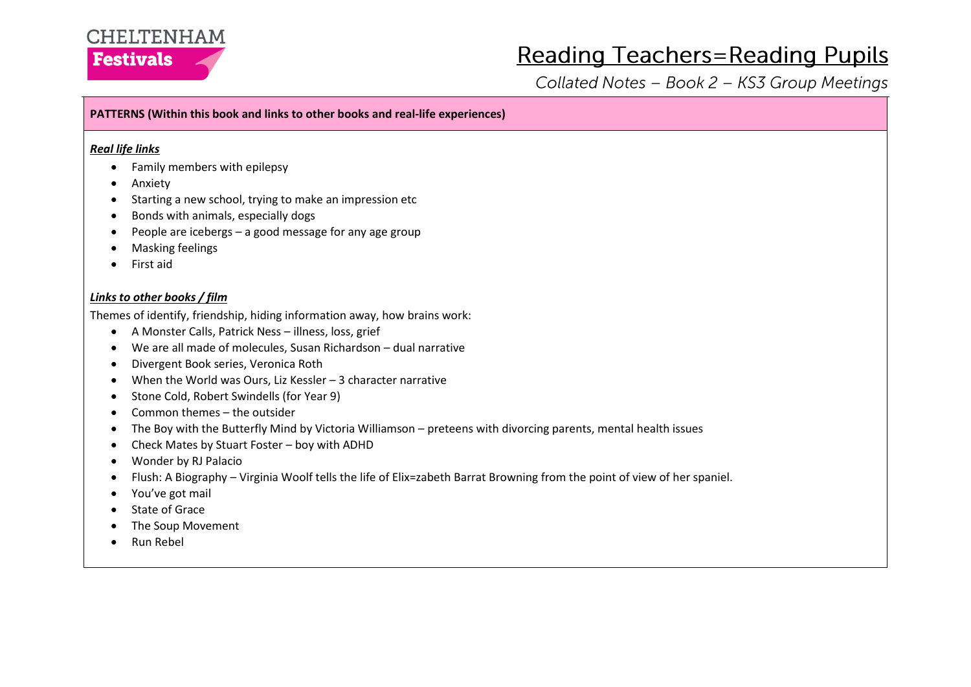# **CHELTENHAM Festivals**

# **Reading Teachers=Reading Pupils**

Collated Notes - Book 2 - KS3 Group Meetings

# **PATTERNS (Within this book and links to other books and real-life experiences)**

### *Real life links*

- Family members with epilepsy
- Anxiety
- Starting a new school, trying to make an impression etc
- Bonds with animals, especially dogs
- People are icebergs a good message for any age group
- Masking feelings
- First aid

## *Links to other books / film*

Themes of identify, friendship, hiding information away, how brains work:

- A Monster Calls, Patrick Ness illness, loss, grief
- We are all made of molecules, Susan Richardson dual narrative
- Divergent Book series, Veronica Roth
- When the World was Ours, Liz Kessler 3 character narrative
- Stone Cold, Robert Swindells (for Year 9)
- Common themes the outsider
- The Boy with the Butterfly Mind by Victoria Williamson preteens with divorcing parents, mental health issues
- Check Mates by Stuart Foster boy with ADHD
- Wonder by RJ Palacio
- Flush: A Biography – Virginia Woolf tells the life of Elix=zabeth Barrat Browning from the point of view of her spaniel.
- You've got mail
- State of Grace
- The Soup Movement
- Run Rebel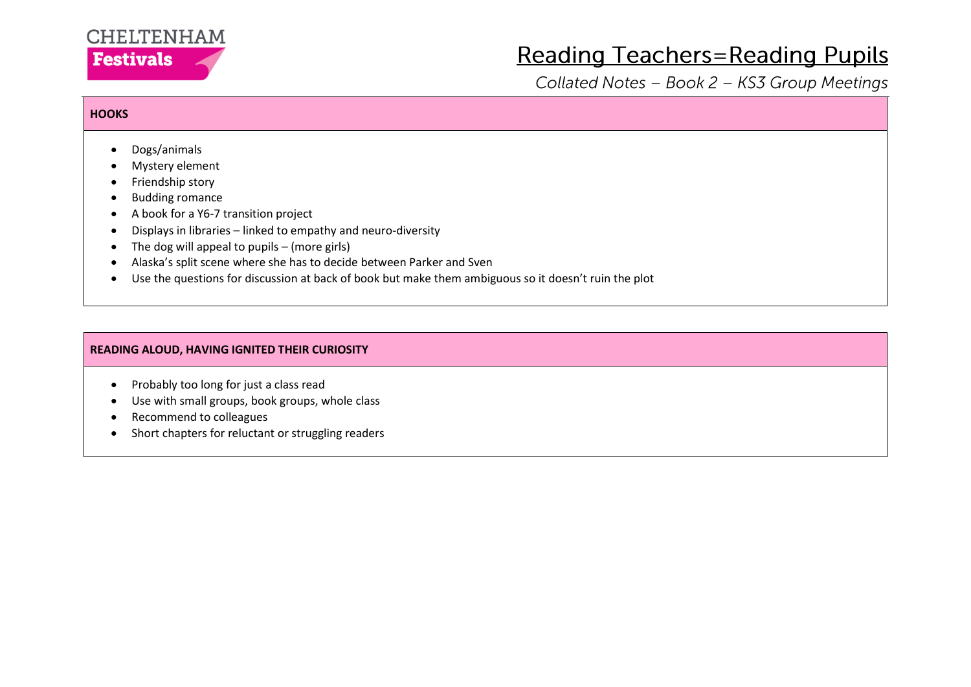

# **Reading Teachers=Reading Pupils**

Collated Notes - Book 2 - KS3 Group Meetings

### **HOOKS**

- Dogs/animals
- Mystery element
- Friendship story
- Budding romance
- A book for a Y6-7 transition project
- Displays in libraries linked to empathy and neuro-diversity
- $\bullet$  The dog will appeal to pupils (more girls)
- Alaska's split scene where she has to decide between Parker and Sven
- Use the questions for discussion at back of book but make them ambiguous so it doesn't ruin the plot

# **READING ALOUD, HAVING IGNITED THEIR CURIOSITY**

- Probably too long for just a class read
- Use with small groups, book groups, whole class
- Recommend to colleagues
- Short chapters for reluctant or struggling readers